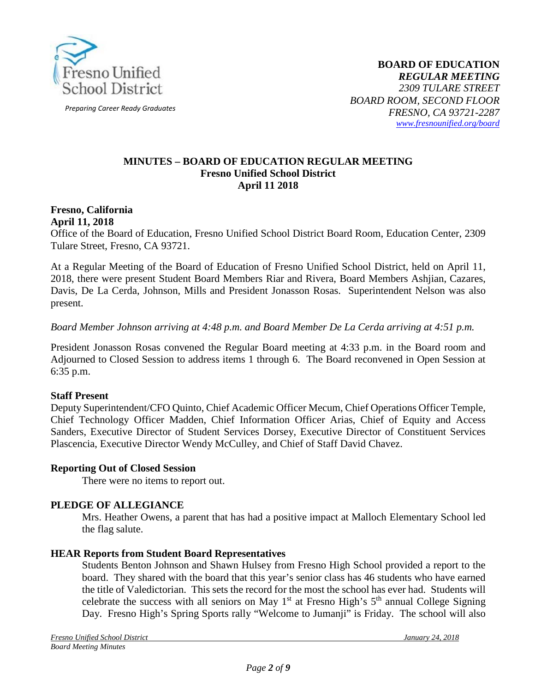

*Preparing Career Ready Graduates*

#### **MINUTES – BOARD OF EDUCATION REGULAR MEETING Fresno Unified School District April 11 2018**

#### **Fresno, California April 11, 2018**

Office of the Board of Education, Fresno Unified School District Board Room, Education Center, 2309 Tulare Street, Fresno, CA 93721.

At a Regular Meeting of the Board of Education of Fresno Unified School District, held on April 11, 2018, there were present Student Board Members Riar and Rivera, Board Members Ashjian, Cazares, Davis, De La Cerda, Johnson, Mills and President Jonasson Rosas. Superintendent Nelson was also present.

#### *Board Member Johnson arriving at 4:48 p.m. and Board Member De La Cerda arriving at 4:51 p.m.*

President Jonasson Rosas convened the Regular Board meeting at 4:33 p.m. in the Board room and Adjourned to Closed Session to address items 1 through 6. The Board reconvened in Open Session at 6:35 p.m.

#### **Staff Present**

Deputy Superintendent/CFO Quinto, Chief Academic Officer Mecum, Chief Operations Officer Temple, Chief Technology Officer Madden, Chief Information Officer Arias, Chief of Equity and Access Sanders, Executive Director of Student Services Dorsey, Executive Director of Constituent Services Plascencia, Executive Director Wendy McCulley, and Chief of Staff David Chavez.

#### **Reporting Out of Closed Session**

There were no items to report out.

#### **PLEDGE OF ALLEGIANCE**

Mrs. Heather Owens, a parent that has had a positive impact at Malloch Elementary School led the flag salute.

#### **HEAR Reports from Student Board Representatives**

Students Benton Johnson and Shawn Hulsey from Fresno High School provided a report to the board. They shared with the board that this year's senior class has 46 students who have earned the title of Valedictorian. This sets the record for the most the school has ever had. Students will celebrate the success with all seniors on May  $1<sup>st</sup>$  at Fresno High's  $5<sup>th</sup>$  annual College Signing Day. Fresno High's Spring Sports rally "Welcome to Jumanji" is Friday. The school will also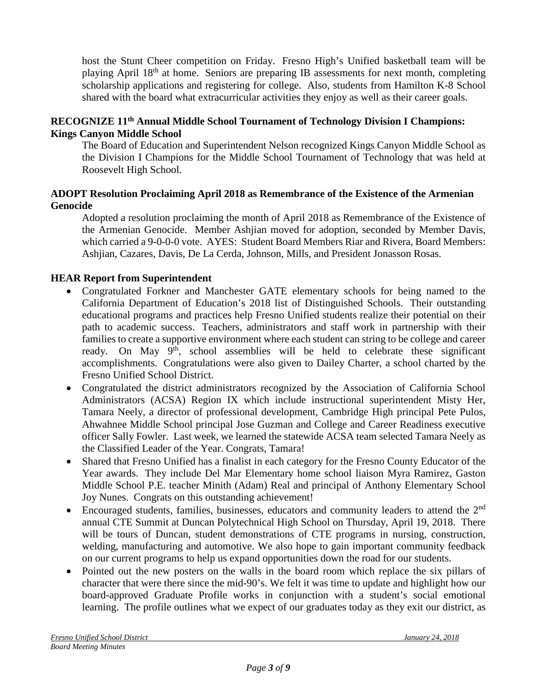host the Stunt Cheer competition on Friday. Fresno High's Unified basketball team will be playing April 18<sup>th</sup> at home. Seniors are preparing IB assessments for next month, completing scholarship applications and registering for college. Also, students from Hamilton K-8 School shared with the board what extracurricular activities they enjoy as well as their career goals.

## **RECOGNIZE 11th Annual Middle School Tournament of Technology Division I Champions: Kings Canyon Middle School**

The Board of Education and Superintendent Nelson recognized Kings Canyon Middle School as the Division I Champions for the Middle School Tournament of Technology that was held at Roosevelt High School.

### **ADOPT Resolution Proclaiming April 2018 as Remembrance of the Existence of the Armenian Genocide**

Adopted a resolution proclaiming the month of April 2018 as Remembrance of the Existence of the Armenian Genocide. Member Ashjian moved for adoption, seconded by Member Davis, which carried a 9-0-0-0 vote. AYES: Student Board Members Riar and Rivera, Board Members: Ashjian, Cazares, Davis, De La Cerda, Johnson, Mills, and President Jonasson Rosas.

## **HEAR Report from Superintendent**

- Congratulated Forkner and Manchester GATE elementary schools for being named to the California Department of Education's 2018 list of Distinguished Schools. Their outstanding educational programs and practices help Fresno Unified students realize their potential on their path to academic success. Teachers, administrators and staff work in partnership with their families to create a supportive environment where each student can string to be college and career ready. On May  $9<sup>th</sup>$ , school assemblies will be held to celebrate these significant accomplishments. Congratulations were also given to Dailey Charter, a school charted by the Fresno Unified School District.
- Congratulated the district administrators recognized by the Association of California School Administrators (ACSA) Region IX which include instructional superintendent Misty Her, Tamara Neely, a director of professional development, Cambridge High principal Pete Pulos, Ahwahnee Middle School principal Jose Guzman and College and Career Readiness executive officer Sally Fowler. Last week, we learned the statewide ACSA team selected Tamara Neely as the Classified Leader of the Year. Congrats, Tamara!
- Shared that Fresno Unified has a finalist in each category for the Fresno County Educator of the Year awards. They include Del Mar Elementary home school liaison Myra Ramirez, Gaston Middle School P.E. teacher Minith (Adam) Real and principal of Anthony Elementary School Joy Nunes. Congrats on this outstanding achievement!
- Encouraged students, families, businesses, educators and community leaders to attend the 2<sup>nd</sup> annual CTE Summit at Duncan Polytechnical High School on Thursday, April 19, 2018. There will be tours of Duncan, student demonstrations of CTE programs in nursing, construction, welding, manufacturing and automotive. We also hope to gain important community feedback on our current programs to help us expand opportunities down the road for our students.
- Pointed out the new posters on the walls in the board room which replace the six pillars of character that were there since the mid-90's. We felt it was time to update and highlight how our board-approved Graduate Profile works in conjunction with a student's social emotional learning. The profile outlines what we expect of our graduates today as they exit our district, as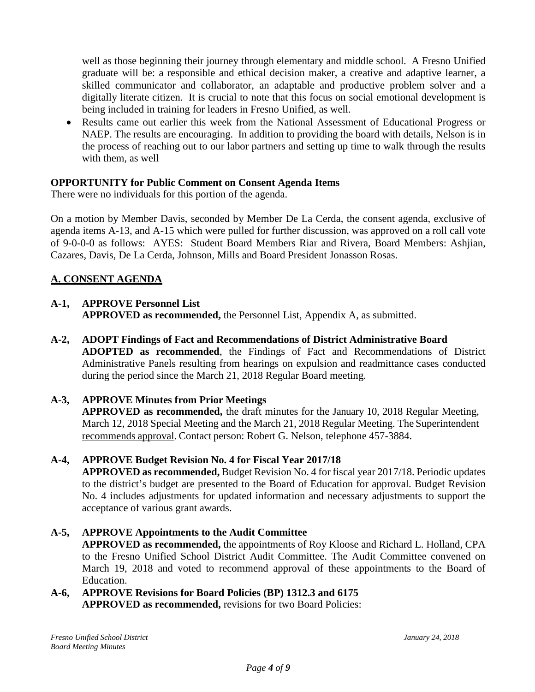well as those beginning their journey through elementary and middle school. A Fresno Unified graduate will be: a responsible and ethical decision maker, a creative and adaptive learner, a skilled communicator and collaborator, an adaptable and productive problem solver and a digitally literate citizen. It is crucial to note that this focus on social emotional development is being included in training for leaders in Fresno Unified, as well.

• Results came out earlier this week from the National Assessment of Educational Progress or NAEP. The results are encouraging. In addition to providing the board with details, Nelson is in the process of reaching out to our labor partners and setting up time to walk through the results with them, as well

# **OPPORTUNITY for Public Comment on Consent Agenda Items**

There were no individuals for this portion of the agenda.

On a motion by Member Davis, seconded by Member De La Cerda, the consent agenda, exclusive of agenda items A-13, and A-15 which were pulled for further discussion, was approved on a roll call vote of 9-0-0-0 as follows: AYES: Student Board Members Riar and Rivera, Board Members: Ashjian, Cazares, Davis, De La Cerda, Johnson, Mills and Board President Jonasson Rosas.

# **A. CONSENT AGENDA**

# **A-1, APPROVE Personnel List**

**APPROVED as recommended,** the Personnel List, Appendix A, as submitted.

**A-2, ADOPT Findings of Fact and Recommendations of District Administrative Board ADOPTED as recommended**, the Findings of Fact and Recommendations of District Administrative Panels resulting from hearings on expulsion and readmittance cases conducted during the period since the March 21, 2018 Regular Board meeting.

# **A-3, APPROVE Minutes from Prior Meetings**

**APPROVED as recommended,** the draft minutes for the January 10, 2018 Regular Meeting, March 12, 2018 Special Meeting and the March 21, 2018 Regular Meeting. The Superintendent recommends approval. Contact person: Robert G. Nelson, telephone 457-3884.

## **A-4, APPROVE Budget Revision No. 4 for Fiscal Year 2017/18**

**APPROVED as recommended,** Budget Revision No. 4 for fiscal year 2017/18. Periodic updates to the district's budget are presented to the Board of Education for approval. Budget Revision No. 4 includes adjustments for updated information and necessary adjustments to support the acceptance of various grant awards.

#### **A-5, APPROVE Appointments to the Audit Committee APPROVED as recommended,** the appointments of Roy Kloose and Richard L. Holland, CPA to the Fresno Unified School District Audit Committee. The Audit Committee convened on March 19, 2018 and voted to recommend approval of these appointments to the Board of Education.

**A-6, APPROVE Revisions for Board Policies (BP) 1312.3 and 6175 APPROVED as recommended,** revisions for two Board Policies: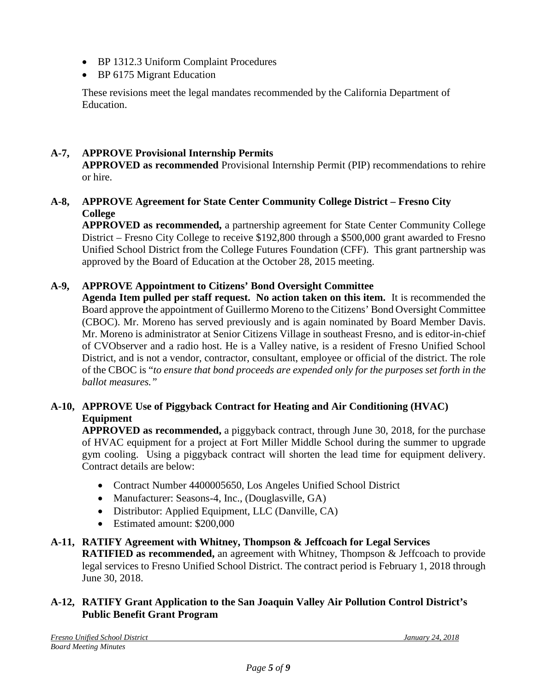- BP 1312.3 Uniform Complaint Procedures
- BP 6175 Migrant Education

These revisions meet the legal mandates recommended by the California Department of Education.

# **A-7, APPROVE Provisional Internship Permits**

**APPROVED as recommended** Provisional Internship Permit (PIP) recommendations to rehire or hire.

# **A-8, APPROVE Agreement for State Center Community College District – Fresno City College**

**APPROVED as recommended,** a partnership agreement for State Center Community College District – Fresno City College to receive \$192,800 through a \$500,000 grant awarded to Fresno Unified School District from the College Futures Foundation (CFF). This grant partnership was approved by the Board of Education at the October 28, 2015 meeting.

# **A-9, APPROVE Appointment to Citizens' Bond Oversight Committee**

**Agenda Item pulled per staff request. No action taken on this item.** It is recommended the Board approve the appointment of Guillermo Moreno to the Citizens' Bond Oversight Committee (CBOC). Mr. Moreno has served previously and is again nominated by Board Member Davis. Mr. Moreno is administrator at Senior Citizens Village in southeast Fresno, and is editor-in-chief of CVObserver and a radio host. He is a Valley native, is a resident of Fresno Unified School District, and is not a vendor, contractor, consultant, employee or official of the district. The role of the CBOC is "*to ensure that bond proceeds are expended only for the purposes set forth in the ballot measures."* 

# **A-10, APPROVE Use of Piggyback Contract for Heating and Air Conditioning (HVAC) Equipment**

**APPROVED as recommended,** a piggyback contract, through June 30, 2018, for the purchase of HVAC equipment for a project at Fort Miller Middle School during the summer to upgrade gym cooling. Using a piggyback contract will shorten the lead time for equipment delivery. Contract details are below:

- Contract Number 4400005650, Los Angeles Unified School District
- Manufacturer: Seasons-4, Inc., (Douglasville, GA)
- Distributor: Applied Equipment, LLC (Danville, CA)
- Estimated amount: \$200,000

## **A-11, RATIFY Agreement with Whitney, Thompson & Jeffcoach for Legal Services**

**RATIFIED as recommended,** an agreement with Whitney, Thompson & Jeffcoach to provide legal services to Fresno Unified School District. The contract period is February 1, 2018 through June 30, 2018.

# **A-12, RATIFY Grant Application to the San Joaquin Valley Air Pollution Control District's Public Benefit Grant Program**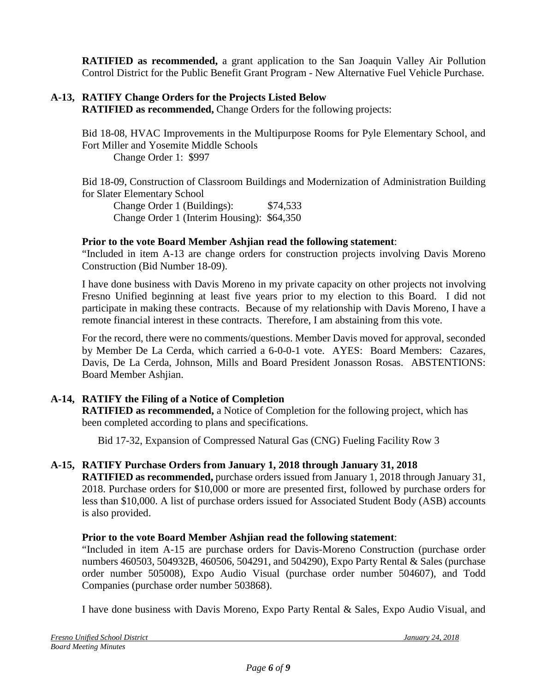**RATIFIED as recommended,** a grant application to the San Joaquin Valley Air Pollution Control District for the Public Benefit Grant Program - New Alternative Fuel Vehicle Purchase.

# **A-13, RATIFY Change Orders for the Projects Listed Below**

**RATIFIED as recommended,** Change Orders for the following projects:

Bid 18-08, HVAC Improvements in the Multipurpose Rooms for Pyle Elementary School, and Fort Miller and Yosemite Middle Schools

Change Order 1: \$997

Bid 18-09, Construction of Classroom Buildings and Modernization of Administration Building for Slater Elementary School

Change Order 1 (Buildings): \$74,533 Change Order 1 (Interim Housing): \$64,350

# **Prior to the vote Board Member Ashjian read the following statement**:

"Included in item A-13 are change orders for construction projects involving Davis Moreno Construction (Bid Number 18-09).

I have done business with Davis Moreno in my private capacity on other projects not involving Fresno Unified beginning at least five years prior to my election to this Board. I did not participate in making these contracts. Because of my relationship with Davis Moreno, I have a remote financial interest in these contracts. Therefore, I am abstaining from this vote.

For the record, there were no comments/questions. Member Davis moved for approval, seconded by Member De La Cerda, which carried a 6-0-0-1 vote. AYES: Board Members: Cazares, Davis, De La Cerda, Johnson, Mills and Board President Jonasson Rosas. ABSTENTIONS: Board Member Ashjian.

# **A-14, RATIFY the Filing of a Notice of Completion**

**RATIFIED as recommended,** a Notice of Completion for the following project, which has been completed according to plans and specifications.

Bid 17-32, Expansion of Compressed Natural Gas (CNG) Fueling Facility Row 3

# **A-15, RATIFY Purchase Orders from January 1, 2018 through January 31, 2018**

**RATIFIED as recommended,** purchase orders issued from January 1, 2018 through January 31, 2018. Purchase orders for \$10,000 or more are presented first, followed by purchase orders for less than \$10,000. A list of purchase orders issued for Associated Student Body (ASB) accounts is also provided.

## **Prior to the vote Board Member Ashjian read the following statement**:

"Included in item A-15 are purchase orders for Davis-Moreno Construction (purchase order numbers 460503, 504932B, 460506, 504291, and 504290), Expo Party Rental & Sales (purchase order number 505008), Expo Audio Visual (purchase order number 504607), and Todd Companies (purchase order number 503868).

I have done business with Davis Moreno, Expo Party Rental & Sales, Expo Audio Visual, and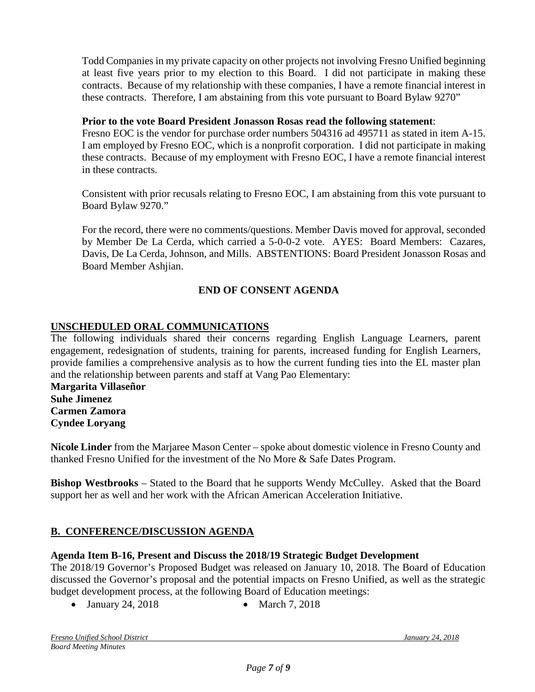Todd Companies in my private capacity on other projects not involving Fresno Unified beginning at least five years prior to my election to this Board. I did not participate in making these contracts. Because of my relationship with these companies, I have a remote financial interest in these contracts. Therefore, I am abstaining from this vote pursuant to Board Bylaw 9270"

### **Prior to the vote Board President Jonasson Rosas read the following statement**:

Fresno EOC is the vendor for purchase order numbers 504316 ad 495711 as stated in item A-15. I am employed by Fresno EOC, which is a nonprofit corporation. I did not participate in making these contracts. Because of my employment with Fresno EOC, I have a remote financial interest in these contracts.

Consistent with prior recusals relating to Fresno EOC, I am abstaining from this vote pursuant to Board Bylaw 9270."

For the record, there were no comments/questions. Member Davis moved for approval, seconded by Member De La Cerda, which carried a 5-0-0-2 vote. AYES: Board Members: Cazares, Davis, De La Cerda, Johnson, and Mills. ABSTENTIONS: Board President Jonasson Rosas and Board Member Ashjian.

## **END OF CONSENT AGENDA**

## **UNSCHEDULED ORAL COMMUNICATIONS**

The following individuals shared their concerns regarding English Language Learners, parent engagement, redesignation of students, training for parents, increased funding for English Learners, provide families a comprehensive analysis as to how the current funding ties into the EL master plan and the relationship between parents and staff at Vang Pao Elementary:

**Margarita Villaseñor Suhe Jimenez Carmen Zamora Cyndee Loryang**

**Nicole Linder** from the Marjaree Mason Center – spoke about domestic violence in Fresno County and thanked Fresno Unified for the investment of the No More & Safe Dates Program.

**Bishop Westbrooks** – Stated to the Board that he supports Wendy McCulley. Asked that the Board support her as well and her work with the African American Acceleration Initiative.

## **B. CONFERENCE/DISCUSSION AGENDA**

#### **Agenda Item B-16, Present and Discuss the 2018/19 Strategic Budget Development**

The 2018/19 Governor's Proposed Budget was released on January 10, 2018. The Board of Education discussed the Governor's proposal and the potential impacts on Fresno Unified, as well as the strategic budget development process, at the following Board of Education meetings:

• January 24, 2018 • March 7, 2018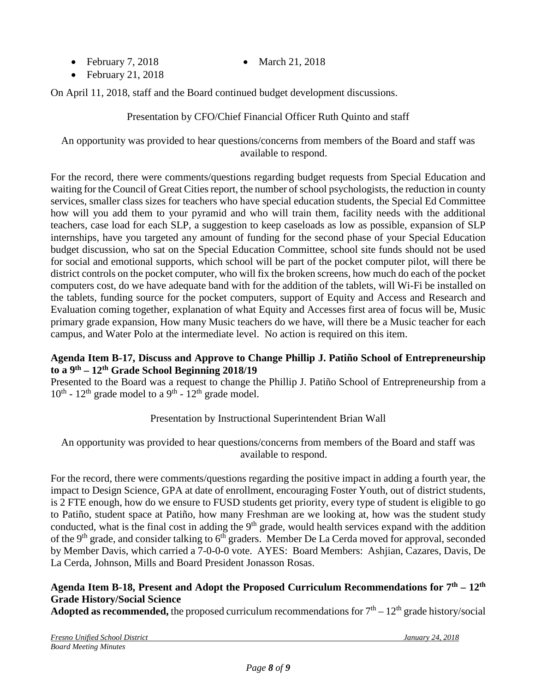- February 7, 2018 March 21, 2018
	-

• February 21, 2018

On April 11, 2018, staff and the Board continued budget development discussions.

Presentation by CFO/Chief Financial Officer Ruth Quinto and staff

An opportunity was provided to hear questions/concerns from members of the Board and staff was available to respond.

For the record, there were comments/questions regarding budget requests from Special Education and waiting for the Council of Great Cities report, the number of school psychologists, the reduction in county services, smaller class sizes for teachers who have special education students, the Special Ed Committee how will you add them to your pyramid and who will train them, facility needs with the additional teachers, case load for each SLP, a suggestion to keep caseloads as low as possible, expansion of SLP internships, have you targeted any amount of funding for the second phase of your Special Education budget discussion, who sat on the Special Education Committee, school site funds should not be used for social and emotional supports, which school will be part of the pocket computer pilot, will there be district controls on the pocket computer, who will fix the broken screens, how much do each of the pocket computers cost, do we have adequate band with for the addition of the tablets, will Wi-Fi be installed on the tablets, funding source for the pocket computers, support of Equity and Access and Research and Evaluation coming together, explanation of what Equity and Accesses first area of focus will be, Music primary grade expansion, How many Music teachers do we have, will there be a Music teacher for each campus, and Water Polo at the intermediate level. No action is required on this item.

## **Agenda Item B-17, Discuss and Approve to Change Phillip J. Patiño School of Entrepreneurship to a 9th – 12th Grade School Beginning 2018/19**

Presented to the Board was a request to change the Phillip J. Patiño School of Entrepreneurship from a  $10^{th}$  -  $12^{th}$  grade model to a 9<sup>th</sup> -  $12^{th}$  grade model.

# Presentation by Instructional Superintendent Brian Wall

An opportunity was provided to hear questions/concerns from members of the Board and staff was available to respond.

For the record, there were comments/questions regarding the positive impact in adding a fourth year, the impact to Design Science, GPA at date of enrollment, encouraging Foster Youth, out of district students, is 2 FTE enough, how do we ensure to FUSD students get priority, every type of student is eligible to go to Patiño, student space at Patiño, how many Freshman are we looking at, how was the student study conducted, what is the final cost in adding the 9<sup>th</sup> grade, would health services expand with the addition of the 9<sup>th</sup> grade, and consider talking to  $6<sup>th</sup>$  graders. Member De La Cerda moved for approval, seconded by Member Davis, which carried a 7-0-0-0 vote. AYES: Board Members: Ashjian, Cazares, Davis, De La Cerda, Johnson, Mills and Board President Jonasson Rosas.

# **Agenda Item B-18, Present and Adopt the Proposed Curriculum Recommendations for 7th – 12th Grade History/Social Science**

**Adopted as recommended,** the proposed curriculum recommendations for  $7<sup>th</sup> - 12<sup>th</sup>$  grade history/social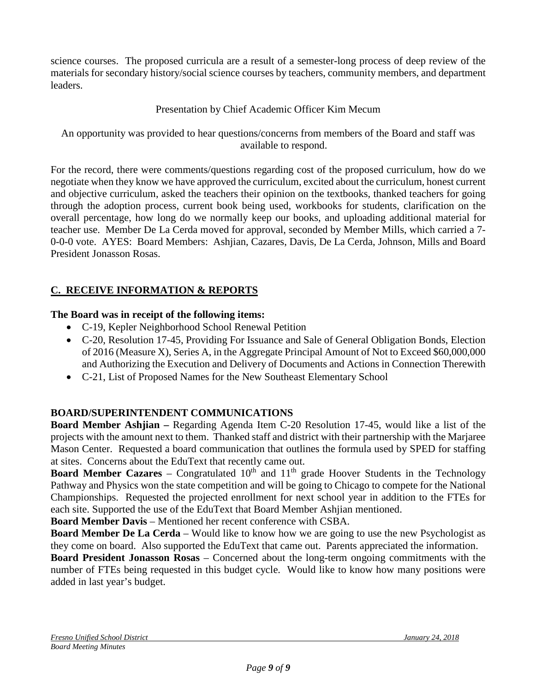science courses. The proposed curricula are a result of a semester-long process of deep review of the materials for secondary history/social science courses by teachers, community members, and department leaders.

# Presentation by Chief Academic Officer Kim Mecum

An opportunity was provided to hear questions/concerns from members of the Board and staff was available to respond.

For the record, there were comments/questions regarding cost of the proposed curriculum, how do we negotiate when they know we have approved the curriculum, excited about the curriculum, honest current and objective curriculum, asked the teachers their opinion on the textbooks, thanked teachers for going through the adoption process, current book being used, workbooks for students, clarification on the overall percentage, how long do we normally keep our books, and uploading additional material for teacher use. Member De La Cerda moved for approval, seconded by Member Mills, which carried a 7- 0-0-0 vote. AYES: Board Members: Ashjian, Cazares, Davis, De La Cerda, Johnson, Mills and Board President Jonasson Rosas.

# **C. RECEIVE INFORMATION & REPORTS**

## **The Board was in receipt of the following items:**

- C-19, Kepler Neighborhood School Renewal Petition
- C-20, Resolution 17-45, Providing For Issuance and Sale of General Obligation Bonds, Election of 2016 (Measure X), Series A, in the Aggregate Principal Amount of Not to Exceed \$60,000,000 and Authorizing the Execution and Delivery of Documents and Actions in Connection Therewith
- C-21, List of Proposed Names for the New Southeast Elementary School

## **BOARD/SUPERINTENDENT COMMUNICATIONS**

**Board Member Ashjian –** Regarding Agenda Item C-20 Resolution 17-45, would like a list of the projects with the amount next to them. Thanked staff and district with their partnership with the Marjaree Mason Center. Requested a board communication that outlines the formula used by SPED for staffing at sites. Concerns about the EduText that recently came out.

**Board Member Cazares** – Congratulated  $10<sup>th</sup>$  and  $11<sup>th</sup>$  grade Hoover Students in the Technology Pathway and Physics won the state competition and will be going to Chicago to compete for the National Championships. Requested the projected enrollment for next school year in addition to the FTEs for each site. Supported the use of the EduText that Board Member Ashjian mentioned.

**Board Member Davis** – Mentioned her recent conference with CSBA.

**Board Member De La Cerda** – Would like to know how we are going to use the new Psychologist as they come on board. Also supported the EduText that came out. Parents appreciated the information.

**Board President Jonasson Rosas** – Concerned about the long-term ongoing commitments with the number of FTEs being requested in this budget cycle. Would like to know how many positions were added in last year's budget.